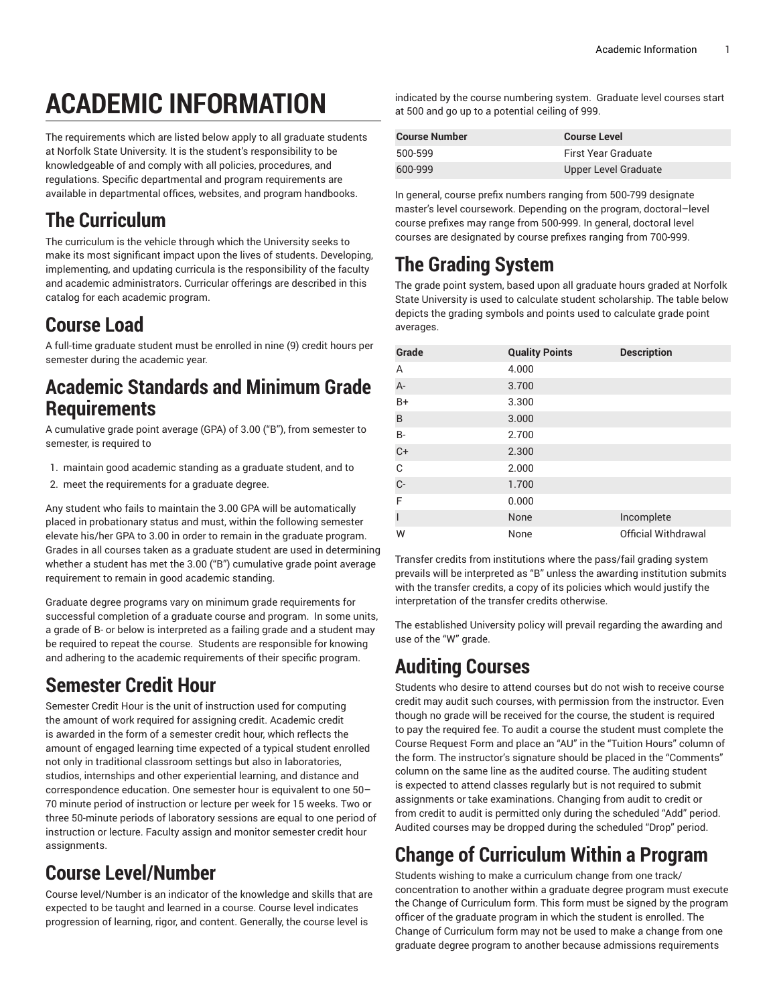# **ACADEMIC INFORMATION**

The requirements which are listed below apply to all graduate students at Norfolk State University. It is the student's responsibility to be knowledgeable of and comply with all policies, procedures, and regulations. Specific departmental and program requirements are available in departmental offices, websites, and program handbooks.

#### **The Curriculum**

The curriculum is the vehicle through which the University seeks to make its most significant impact upon the lives of students. Developing, implementing, and updating curricula is the responsibility of the faculty and academic administrators. Curricular offerings are described in this catalog for each academic program.

#### **Course Load**

A full-time graduate student must be enrolled in nine (9) credit hours per semester during the academic year.

#### **Academic Standards and Minimum Grade Requirements**

A cumulative grade point average (GPA) of 3.00 ("B"), from semester to semester, is required to

- 1. maintain good academic standing as a graduate student, and to
- 2. meet the requirements for a graduate degree.

Any student who fails to maintain the 3.00 GPA will be automatically placed in probationary status and must, within the following semester elevate his/her GPA to 3.00 in order to remain in the graduate program. Grades in all courses taken as a graduate student are used in determining whether a student has met the 3.00 ("B") cumulative grade point average requirement to remain in good academic standing.

Graduate degree programs vary on minimum grade requirements for successful completion of a graduate course and program. In some units, a grade of B- or below is interpreted as a failing grade and a student may be required to repeat the course. Students are responsible for knowing and adhering to the academic requirements of their specific program.

# **Semester Credit Hour**

Semester Credit Hour is the unit of instruction used for computing the amount of work required for assigning credit. Academic credit is awarded in the form of a semester credit hour, which reflects the amount of engaged learning time expected of a typical student enrolled not only in traditional classroom settings but also in laboratories, studios, internships and other experiential learning, and distance and correspondence education. One semester hour is equivalent to one 50– 70 minute period of instruction or lecture per week for 15 weeks. Two or three 50-minute periods of laboratory sessions are equal to one period of instruction or lecture. Faculty assign and monitor semester credit hour assignments.

# **Course Level/Number**

Course level/Number is an indicator of the knowledge and skills that are expected to be taught and learned in a course. Course level indicates progression of learning, rigor, and content. Generally, the course level is

indicated by the course numbering system. Graduate level courses start at 500 and go up to a potential ceiling of 999.

| <b>Course Number</b> | <b>Course Level</b>  |
|----------------------|----------------------|
| 500-599              | First Year Graduate  |
| 600-999              | Upper Level Graduate |

In general, course prefix numbers ranging from 500-799 designate master's level coursework. Depending on the program, doctoral–level course prefixes may range from 500-999. In general, doctoral level courses are designated by course prefixes ranging from 700-999.

# **The Grading System**

The grade point system, based upon all graduate hours graded at Norfolk State University is used to calculate student scholarship. The table below depicts the grading symbols and points used to calculate grade point averages.

| Grade                    | <b>Quality Points</b> | <b>Description</b>  |
|--------------------------|-----------------------|---------------------|
| A                        | 4.000                 |                     |
| A-                       | 3.700                 |                     |
| $B+$                     | 3.300                 |                     |
| B                        | 3.000                 |                     |
| <b>B-</b>                | 2.700                 |                     |
| $C+$                     | 2.300                 |                     |
| C                        | 2.000                 |                     |
| $C-$                     | 1.700                 |                     |
| F                        | 0.000                 |                     |
| $\overline{\phantom{a}}$ | None                  | Incomplete          |
| W                        | None                  | Official Withdrawal |

Transfer credits from institutions where the pass/fail grading system prevails will be interpreted as "B" unless the awarding institution submits with the transfer credits, a copy of its policies which would justify the interpretation of the transfer credits otherwise.

The established University policy will prevail regarding the awarding and use of the "W" grade.

#### **Auditing Courses**

Students who desire to attend courses but do not wish to receive course credit may audit such courses, with permission from the instructor. Even though no grade will be received for the course, the student is required to pay the required fee. To audit a course the student must complete the Course Request Form and place an "AU" in the "Tuition Hours" column of the form. The instructor's signature should be placed in the "Comments" column on the same line as the audited course. The auditing student is expected to attend classes regularly but is not required to submit assignments or take examinations. Changing from audit to credit or from credit to audit is permitted only during the scheduled "Add" period. Audited courses may be dropped during the scheduled "Drop" period.

# **Change of Curriculum Within a Program**

Students wishing to make a curriculum change from one track/ concentration to another within a graduate degree program must execute the Change of Curriculum form. This form must be signed by the program officer of the graduate program in which the student is enrolled. The Change of Curriculum form may not be used to make a change from one graduate degree program to another because admissions requirements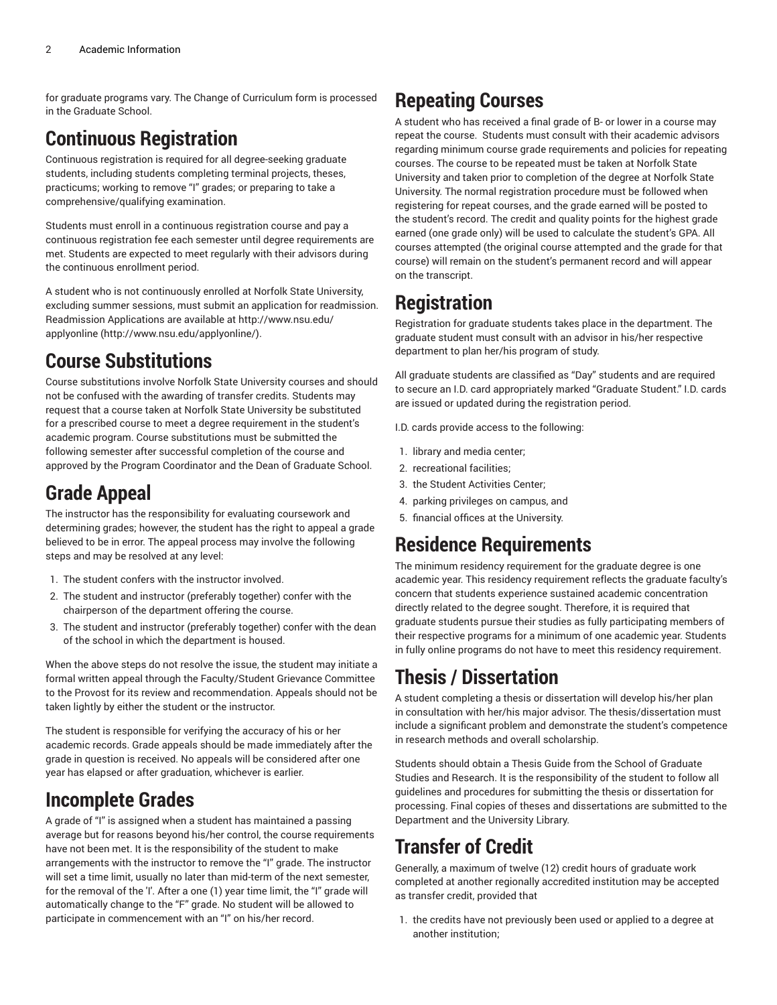for graduate programs vary. The Change of Curriculum form is processed in the Graduate School.

# **Continuous Registration**

Continuous registration is required for all degree-seeking graduate students, including students completing terminal projects, theses, practicums; working to remove "I" grades; or preparing to take a comprehensive/qualifying examination.

Students must enroll in a continuous registration course and pay a continuous registration fee each semester until degree requirements are met. Students are expected to meet regularly with their advisors during the continuous enrollment period.

A student who is not continuously enrolled at Norfolk State University, excluding summer sessions, must submit an application for readmission. Readmission Applications are available at [http://www.nsu.edu/](http://www.nsu.edu/applyonline/) [applyonline](http://www.nsu.edu/applyonline/) ([http://www.nsu.edu/applyonline/\)](http://www.nsu.edu/applyonline/).

#### **Course Substitutions**

Course substitutions involve Norfolk State University courses and should not be confused with the awarding of transfer credits. Students may request that a course taken at Norfolk State University be substituted for a prescribed course to meet a degree requirement in the student's academic program. Course substitutions must be submitted the following semester after successful completion of the course and approved by the Program Coordinator and the Dean of Graduate School.

## **Grade Appeal**

The instructor has the responsibility for evaluating coursework and determining grades; however, the student has the right to appeal a grade believed to be in error. The appeal process may involve the following steps and may be resolved at any level:

- 1. The student confers with the instructor involved.
- 2. The student and instructor (preferably together) confer with the chairperson of the department offering the course.
- 3. The student and instructor (preferably together) confer with the dean of the school in which the department is housed.

When the above steps do not resolve the issue, the student may initiate a formal written appeal through the Faculty/Student Grievance Committee to the Provost for its review and recommendation. Appeals should not be taken lightly by either the student or the instructor.

The student is responsible for verifying the accuracy of his or her academic records. Grade appeals should be made immediately after the grade in question is received. No appeals will be considered after one year has elapsed or after graduation, whichever is earlier.

## **Incomplete Grades**

A grade of "I" is assigned when a student has maintained a passing average but for reasons beyond his/her control, the course requirements have not been met. It is the responsibility of the student to make arrangements with the instructor to remove the "I" grade. The instructor will set a time limit, usually no later than mid-term of the next semester, for the removal of the 'I'. After a one (1) year time limit, the "I" grade will automatically change to the "F" grade. No student will be allowed to participate in commencement with an "I" on his/her record.

## **Repeating Courses**

A student who has received a final grade of B- or lower in a course may repeat the course. Students must consult with their academic advisors regarding minimum course grade requirements and policies for repeating courses. The course to be repeated must be taken at Norfolk State University and taken prior to completion of the degree at Norfolk State University. The normal registration procedure must be followed when registering for repeat courses, and the grade earned will be posted to the student's record. The credit and quality points for the highest grade earned (one grade only) will be used to calculate the student's GPA. All courses attempted (the original course attempted and the grade for that course) will remain on the student's permanent record and will appear on the transcript.

# **Registration**

Registration for graduate students takes place in the department. The graduate student must consult with an advisor in his/her respective department to plan her/his program of study.

All graduate students are classified as "Day" students and are required to secure an I.D. card appropriately marked "Graduate Student." I.D. cards are issued or updated during the registration period.

I.D. cards provide access to the following:

- 1. library and media center;
- 2. recreational facilities;
- 3. the Student Activities Center;
- 4. parking privileges on campus, and
- 5. financial offices at the University.

#### **Residence Requirements**

The minimum residency requirement for the graduate degree is one academic year. This residency requirement reflects the graduate faculty's concern that students experience sustained academic concentration directly related to the degree sought. Therefore, it is required that graduate students pursue their studies as fully participating members of their respective programs for a minimum of one academic year. Students in fully online programs do not have to meet this residency requirement.

## **Thesis / Dissertation**

A student completing a thesis or dissertation will develop his/her plan in consultation with her/his major advisor. The thesis/dissertation must include a significant problem and demonstrate the student's competence in research methods and overall scholarship.

Students should obtain a Thesis Guide from the School of Graduate Studies and Research. It is the responsibility of the student to follow all guidelines and procedures for submitting the thesis or dissertation for processing. Final copies of theses and dissertations are submitted to the Department and the University Library.

# **Transfer of Credit**

Generally, a maximum of twelve (12) credit hours of graduate work completed at another regionally accredited institution may be accepted as transfer credit, provided that

1. the credits have not previously been used or applied to a degree at another institution;